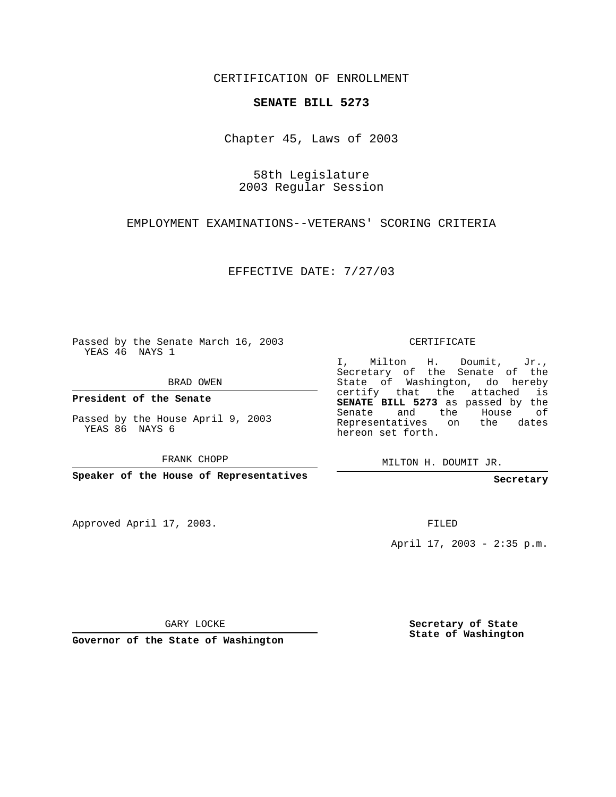CERTIFICATION OF ENROLLMENT

## **SENATE BILL 5273**

Chapter 45, Laws of 2003

58th Legislature 2003 Regular Session

EMPLOYMENT EXAMINATIONS--VETERANS' SCORING CRITERIA

EFFECTIVE DATE: 7/27/03

Passed by the Senate March 16, 2003 YEAS 46 NAYS 1

BRAD OWEN

**President of the Senate**

Passed by the House April 9, 2003 YEAS 86 NAYS 6

FRANK CHOPP

**Speaker of the House of Representatives**

Approved April 17, 2003.

CERTIFICATE

I, Milton H. Doumit, Jr., Secretary of the Senate of the State of Washington, do hereby certify that the attached is **SENATE BILL 5273** as passed by the Senate and the House of Representatives on the dates hereon set forth.

MILTON H. DOUMIT JR.

**Secretary**

FILED

April 17, 2003 - 2:35 p.m.

GARY LOCKE

**Governor of the State of Washington**

**Secretary of State State of Washington**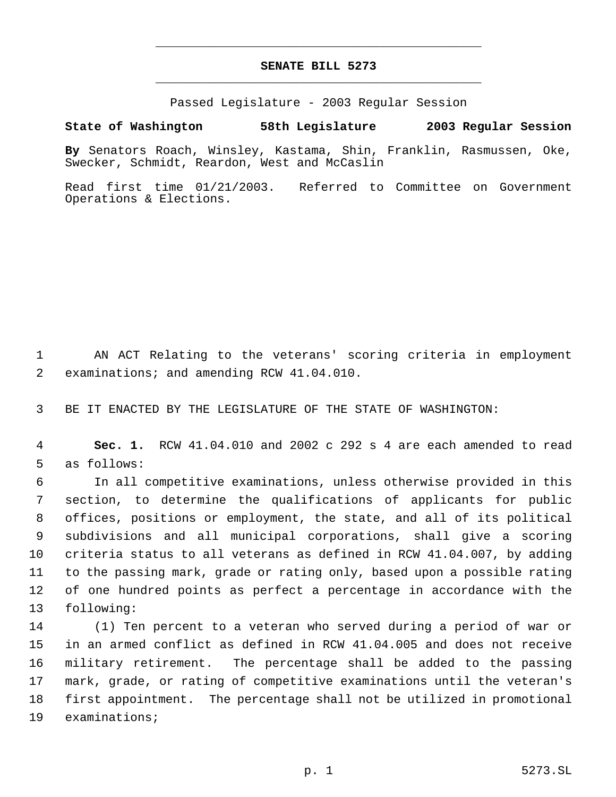## **SENATE BILL 5273** \_\_\_\_\_\_\_\_\_\_\_\_\_\_\_\_\_\_\_\_\_\_\_\_\_\_\_\_\_\_\_\_\_\_\_\_\_\_\_\_\_\_\_\_\_

\_\_\_\_\_\_\_\_\_\_\_\_\_\_\_\_\_\_\_\_\_\_\_\_\_\_\_\_\_\_\_\_\_\_\_\_\_\_\_\_\_\_\_\_\_

Passed Legislature - 2003 Regular Session

## **State of Washington 58th Legislature 2003 Regular Session**

**By** Senators Roach, Winsley, Kastama, Shin, Franklin, Rasmussen, Oke, Swecker, Schmidt, Reardon, West and McCaslin

Read first time 01/21/2003. Referred to Committee on Government Operations & Elections.

 AN ACT Relating to the veterans' scoring criteria in employment examinations; and amending RCW 41.04.010.

BE IT ENACTED BY THE LEGISLATURE OF THE STATE OF WASHINGTON:

 **Sec. 1.** RCW 41.04.010 and 2002 c 292 s 4 are each amended to read as follows:

 In all competitive examinations, unless otherwise provided in this section, to determine the qualifications of applicants for public offices, positions or employment, the state, and all of its political subdivisions and all municipal corporations, shall give a scoring criteria status to all veterans as defined in RCW 41.04.007, by adding to the passing mark, grade or rating only, based upon a possible rating of one hundred points as perfect a percentage in accordance with the following:

 (1) Ten percent to a veteran who served during a period of war or in an armed conflict as defined in RCW 41.04.005 and does not receive military retirement. The percentage shall be added to the passing mark, grade, or rating of competitive examinations until the veteran's first appointment. The percentage shall not be utilized in promotional examinations;